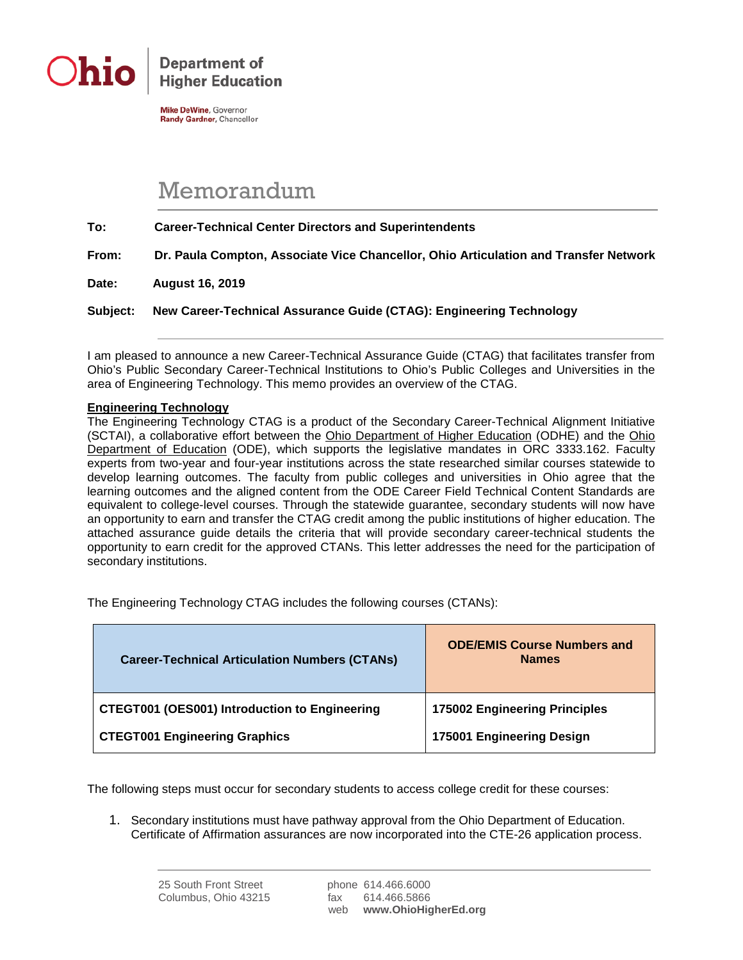

**Department of Higher Education** 

**Mike DeWine, Governor** Randy Gardner, Chancellor

## Memorandum

**To: Career-Technical Center Directors and Superintendents**

**From: Dr. Paula Compton, Associate Vice Chancellor, Ohio Articulation and Transfer Network**

**Date: August 16, 2019**

**Subject: New Career-Technical Assurance Guide (CTAG): Engineering Technology**

I am pleased to announce a new Career-Technical Assurance Guide (CTAG) that facilitates transfer from Ohio's Public Secondary Career-Technical Institutions to Ohio's Public Colleges and Universities in the area of Engineering Technology. This memo provides an overview of the CTAG.

## **Engineering Technology**

The Engineering Technology CTAG is a product of the Secondary Career-Technical Alignment Initiative (SCTAI), a collaborative effort between the Ohio Department of Higher Education (ODHE) and the Ohio Department of Education (ODE), which supports the legislative mandates in ORC 3333.162. Faculty experts from two-year and four-year institutions across the state researched similar courses statewide to develop learning outcomes. The faculty from public colleges and universities in Ohio agree that the learning outcomes and the aligned content from the ODE Career Field Technical Content Standards are equivalent to college-level courses. Through the statewide guarantee, secondary students will now have an opportunity to earn and transfer the CTAG credit among the public institutions of higher education. The attached assurance guide details the criteria that will provide secondary career-technical students the opportunity to earn credit for the approved CTANs. This letter addresses the need for the participation of secondary institutions.

The Engineering Technology CTAG includes the following courses (CTANs):

| <b>Career-Technical Articulation Numbers (CTANs)</b> | <b>ODE/EMIS Course Numbers and</b><br><b>Names</b> |
|------------------------------------------------------|----------------------------------------------------|
| <b>CTEGT001 (OES001) Introduction to Engineering</b> | <b>175002 Engineering Principles</b>               |
| <b>CTEGT001 Engineering Graphics</b>                 | 175001 Engineering Design                          |

The following steps must occur for secondary students to access college credit for these courses:

1. Secondary institutions must have pathway approval from the Ohio Department of Education. Certificate of Affirmation assurances are now incorporated into the CTE-26 application process.